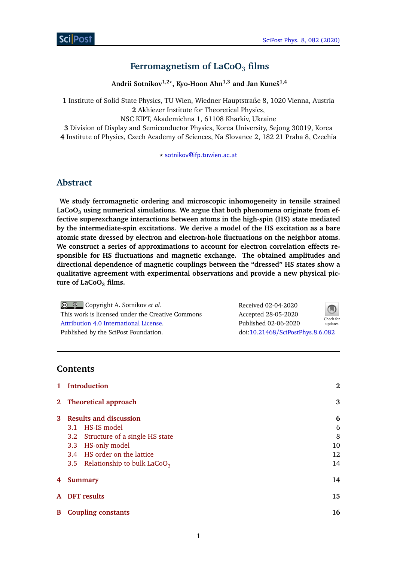# **Ferromagnetism of LaCoO**<sup>3</sup> **films**

**Andrii Sotnikov1,2***?* **, Kyo-Hoon Ahn1,3 and Jan Kuneš1,4**

**1** Institute of Solid State Physics, TU Wien, Wiedner Hauptstraße 8, 1020 Vienna, Austria **2** Akhiezer Institute for Theoretical Physics,

NSC KIPT, Akademichna 1, 61108 Kharkiv, Ukraine

**3** Division of Display and Semiconductor Physics, Korea University, Sejong 30019, Korea **4** Institute of Physics, Czech Academy of Sciences, Na Slovance 2, 182 21 Praha 8, Czechia

*?* [sotnikov@ifp.tuwien.ac.at](mailto:sotnikov@ifp.tuwien.ac.at)

## **Abstract**

**We study ferromagnetic ordering and microscopic inhomogeneity in tensile strained LaCoO<sup>3</sup> using numerical simulations. We argue that both phenomena originate from effective superexchange interactions between atoms in the high-spin (HS) state mediated by the intermediate-spin excitations. We derive a model of the HS excitation as a bare atomic state dressed by electron and electron-hole fluctuations on the neighbor atoms. We construct a series of approximations to account for electron correlation effects responsible for HS fluctuations and magnetic exchange. The obtained amplitudes and directional dependence of magnetic couplings between the "dressed" HS states show a qualitative agreement with experimental observations and provide a new physical picture of LaCoO<sup>3</sup> films.**

Copyright A. Sotnikov *et al*. This work is licensed under the Creative Commons [Attribution 4.0 International License.](http://creativecommons.org/licenses/by/4.0/) Published by the SciPost Foundation.

Received 02-04-2020 Accepted 28-05-2020 Published 02-06-2020 updates doi:10.21468/[SciPostPhys.8.6.082](https://doi.org/10.21468/SciPostPhys.8.6.082)



**Contents**

|   | <b>Introduction</b>                         | $\bf{2}$ |  |  |
|---|---------------------------------------------|----------|--|--|
|   | 2 Theoretical approach                      | 3        |  |  |
| 3 | <b>Results and discussion</b>               | 6        |  |  |
|   | 3.1 HS-IS model                             | 6        |  |  |
|   | 3.2 Structure of a single HS state          | 8        |  |  |
|   | HS-only model<br>3.3                        | 10       |  |  |
|   | 3.4 HS order on the lattice                 | 12       |  |  |
|   | 3.5 Relationship to bulk LaCoO <sub>3</sub> | 14       |  |  |
| 4 | <b>Summary</b>                              | 14       |  |  |
|   | A DFT results                               | 15       |  |  |
| B | <b>Coupling constants</b>                   | 16       |  |  |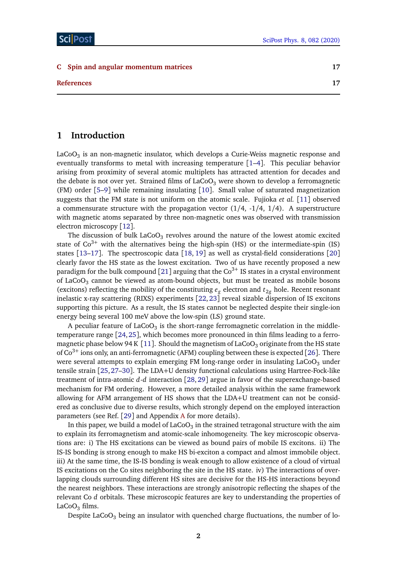#### **[C Spin and angular momentum matrices](#page-16-0) 17**

**[References](#page-16-0) 17**

# <span id="page-1-0"></span>**1 Introduction**

LaCoO $_3$  is an non-magnetic insulator, which develops a Curie-Weiss magnetic response and eventually transforms to metal with increasing temperature [[1–](#page-16-1)[4](#page-17-0)]. This peculiar behavior arising from proximity of several atomic multiplets has attracted attention for decades and the debate is not over yet. Strained films of  $LaCoO<sub>3</sub>$  were shown to develop a ferromagnetic (FM) order [[5–](#page-17-1)[9](#page-17-2)] while remaining insulating [[10](#page-17-3)]. Small value of saturated magnetization suggests that the FM state is not uniform on the atomic scale. Fujioka *et al.* [[11](#page-17-4)] observed a commensurate structure with the propagation vector  $(1/4, -1/4, 1/4)$ . A superstructure with magnetic atoms separated by three non-magnetic ones was observed with transmission electron microscopy [[12](#page-17-5)].

The discussion of bulk LaCoO $_3$  revolves around the nature of the lowest atomic excited state of  $Co^{3+}$  with the alternatives being the high-spin (HS) or the intermediate-spin (IS) states [[13–](#page-17-6)[17](#page-17-7)]. The spectroscopic data [[18,](#page-18-0) [19](#page-18-1)] as well as crystal-field considerations [[20](#page-18-2)] clearly favor the HS state as the lowest excitation. Two of us have recently proposed a new paradigm for the bulk compound [[21](#page-18-3)] arguing that the  $Co<sup>3+</sup>$  IS states in a crystal environment of LaCoO $_3$  cannot be viewed as atom-bound objects, but must be treated as mobile bosons (excitons) reflecting the mobility of the constituting  $e_g$  electron and  $t_{2g}$  hole. Recent resonant inelastic x-ray scattering (RIXS) experiments [[22,](#page-18-4) [23](#page-18-5)] reveal sizable dispersion of IS excitons supporting this picture. As a result, the IS states cannot be neglected despite their single-ion energy being several 100 meV above the low-spin (LS) ground state.

A peculiar feature of LaCoO $_3$  is the short-range ferromagnetic correlation in the middletemperature range [[24,](#page-18-6)[25](#page-18-7)], which becomes more pronounced in thin films leading to a ferro-magnetic phase below 94 K [[11](#page-17-4)]. Should the magnetism of LaCoO<sub>3</sub> originate from the HS state of  $Co^{3+}$  ions only, an anti-ferromagnetic (AFM) coupling between these is expected [[26](#page-18-8)]. There were several attempts to explain emerging FM long-range order in insulating  $LaCoO<sub>3</sub>$  under tensile strain [[25,](#page-18-7)[27](#page-18-9)[–30](#page-18-10)]. The LDA+U density functional calculations using Hartree-Fock-like treatment of intra-atomic *d*-*d* interaction [[28,](#page-18-11) [29](#page-18-12)] argue in favor of the superexchange-based mechanism for FM ordering. However, a more detailed analysis within the same framework allowing for AFM arrangement of HS shows that the LDA+U treatment can not be considered as conclusive due to diverse results, which strongly depend on the employed interaction parameters (see Ref. [[29](#page-18-12)] and Appendix [A](#page-14-0) for more details).

In this paper, we build a model of LaCoO $_3$  in the strained tetragonal structure with the aim to explain its ferromagnetism and atomic-scale inhomogeneity. The key microscopic observations are: i) The HS excitations can be viewed as bound pairs of mobile IS excitons. ii) The IS-IS bonding is strong enough to make HS bi-exciton a compact and almost immobile object. iii) At the same time, the IS-IS bonding is weak enough to allow existence of a cloud of virtual IS excitations on the Co sites neighboring the site in the HS state. iv) The interactions of overlapping clouds surrounding different HS sites are decisive for the HS-HS interactions beyond the nearest neighbors. These interactions are strongly anisotropic reflecting the shapes of the relevant Co *d* orbitals. These microscopic features are key to understanding the properties of LaCo $O_3$  films.

Despite LaCoO<sub>3</sub> being an insulator with quenched charge fluctuations, the number of lo-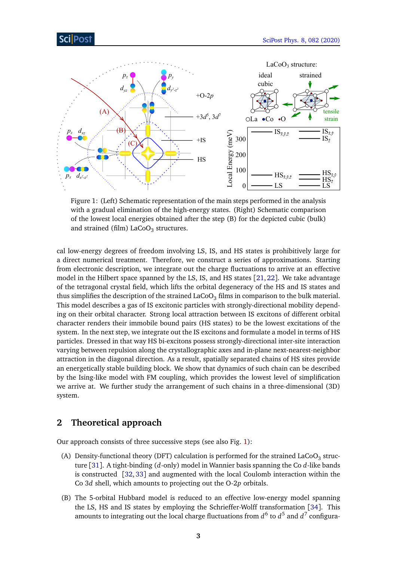<span id="page-2-1"></span>

Figure 1: (Left) Schematic representation of the main steps performed in the analysis with a gradual elimination of the high-energy states. (Right) Schematic comparison of the lowest local energies obtained after the step (B) for the depicted cubic (bulk) and strained (film) LaCoO $_3$  structures.

cal low-energy degrees of freedom involving LS, IS, and HS states is prohibitively large for a direct numerical treatment. Therefore, we construct a series of approximations. Starting from electronic description, we integrate out the charge fluctuations to arrive at an effective model in the Hilbert space spanned by the LS, IS, and HS states  $[21, 22]$  $[21, 22]$  $[21, 22]$  $[21, 22]$  $[21, 22]$ . We take advantage of the tetragonal crystal field, which lifts the orbital degeneracy of the HS and IS states and thus simplifies the description of the strained  $LaCoO<sub>3</sub>$  films in comparison to the bulk material. This model describes a gas of IS excitonic particles with strongly-directional mobility depending on their orbital character. Strong local attraction between IS excitons of different orbital character renders their immobile bound pairs (HS states) to be the lowest excitations of the system. In the next step, we integrate out the IS excitons and formulate a model in terms of HS particles. Dressed in that way HS bi-excitons possess strongly-directional inter-site interaction varying between repulsion along the crystallographic axes and in-plane next-nearest-neighbor attraction in the diagonal direction. As a result, spatially separated chains of HS sites provide an energetically stable building block. We show that dynamics of such chain can be described by the Ising-like model with FM coupling, which provides the lowest level of simplification we arrive at. We further study the arrangement of such chains in a three-dimensional (3D) system.

# <span id="page-2-0"></span>**2 Theoretical approach**

Our approach consists of three successive steps (see also Fig. [1\)](#page-2-1):

- (A) Density-functional theory (DFT) calculation is performed for the strained LaCoO<sub>3</sub> structure [[31](#page-19-0)]. A tight-binding (*d*-only) model in Wannier basis spanning the Co *d*-like bands is constructed [[32,](#page-19-1) [33](#page-19-2)] and augmented with the local Coulomb interaction within the Co 3*d* shell, which amounts to projecting out the O-2*p* orbitals.
- (B) The 5-orbital Hubbard model is reduced to an effective low-energy model spanning the LS, HS and IS states by employing the Schrieffer-Wolff transformation [[34](#page-19-3)]. This amounts to integrating out the local charge fluctuations from  $d^6$  to  $d^5$  and  $d^7$  configura-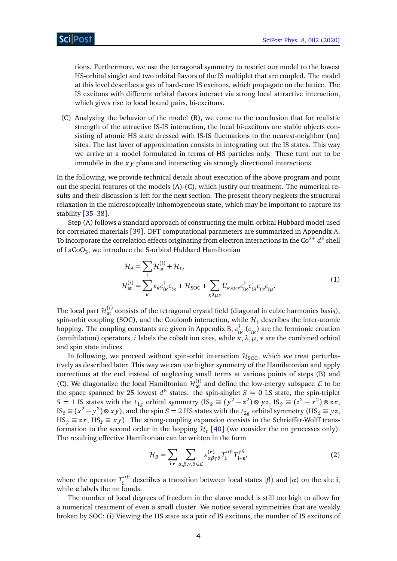tions. Furthermore, we use the tetragonal symmetry to restrict our model to the lowest HS-orbital singlet and two orbital flavors of the IS multiplet that are coupled. The model at this level describes a gas of hard-core IS excitons, which propagate on the lattice. The IS excitons with different orbital flavors interact via strong local attractive interaction, which gives rise to local bound pairs, bi-excitons.

(C) Analysing the behavior of the model (B), we come to the conclusion that for realistic strength of the attractive IS-IS interaction, the local bi-excitons are stable objects consisting of atomic HS state dressed with IS-IS fluctuations to the nearest-neighbor (nn) sites. The last layer of approximation consists in integrating out the IS states. This way we arrive at a model formulated in terms of HS particles only. These turn out to be immobile in the *x y* plane and interacting via strongly directional interactions.

In the following, we provide technical details about execution of the above program and point out the special features of the models (A)-(C), which justify our treatment. The numerical results and their discussion is left for the next section. The present theory neglects the structural relaxation in the microscopically inhomogeneous state, which may be important to capture its stability [[35](#page-19-4)[–38](#page-19-5)].

Step (A) follows a standard approach of constructing the multi-orbital Hubbard model used for correlated materials [[39](#page-19-6)]. DFT computational parameters are summarized in Appendix [A.](#page-14-0) To incorporate the correlation effects originating from electron interactions in the Co $^{3+}$   $d^6$  shell of LaCo $\mathrm{O}_3$ , we introduce the 5-orbital Hubbard Hamiltonian

<span id="page-3-1"></span>
$$
\mathcal{H}_{A} = \sum_{i} \mathcal{H}_{at}^{(i)} + \mathcal{H}_{t},
$$
\n
$$
\mathcal{H}_{at}^{(i)} = \sum_{\kappa} \varepsilon_{\kappa} c_{i\kappa}^{\dagger} c_{i\kappa} + \mathcal{H}_{SOC} + \sum_{\kappa \lambda \mu \nu} U_{\kappa \lambda \mu \nu} c_{i\kappa}^{\dagger} c_{i\lambda}^{\dagger} c_{i\nu} c_{i\mu}.
$$
\n(1)

The local part  $\mathcal{H}^{(i)}_{\rm at}$  consists of the tetragonal crystal field (diagonal in cubic harmonics basis), spin-orbit coupling (SOC), and the Coulomb interaction, while  $\mathcal{H}_t$  describes the inter-atomic hopping. The coupling constants are given in Appendix [B,](#page-15-0) *c* † *iκ* (*c iκ* ) are the fermionic creation (annihilation) operators, *i* labels the cobalt ion sites, while  $\kappa$ ,  $\lambda$ ,  $\mu$ ,  $\nu$  are the combined orbital and spin state indices.

In following, we proceed without spin-orbit interaction  $\mathcal{H}_{\text{SOC}}$ , which we treat perturbatively as described later. This way we can use higher symmetry of the Hamilatonian and apply corrections at the end instead of neglecting small terms at various points of steps (B) and (C). We diagonalize the local Hamiltonian  $\mathcal{H}_{\text{at}}^{(i)}$  and define the low-energy subspace  $\mathcal{L}$  to be the space spanned by 25 lowest  $d^6$  states: the spin-singlet  $S = 0$  LS state, the spin-triplet *S* = 1 IS states with the  $t_{1g}$  orbital symmetry (IS<sub>*x*</sub>̂ ≡ ( $y^2 - z^2$ )⊗ *yz*, IS<sub>*y*</sub><sup>∂</sup> ≡ ( $z^2 - x^2$ )⊗ *zx*,  $\text{IS}_{\hat{z}} \equiv (x^2 - y^2) \otimes xy$ ), and the spin *S* = 2 HS states with the  $t_{2g}$  orbital symmetry (HS<sub>*x*</sub>  $\equiv yz$ ,  $HS_{\hat{y}} \equiv zx$ ,  $HS_{\hat{z}} \equiv xy$ ). The strong-coupling expansion consists in the Schrieffer-Wolff transformation to the second order in the hopping  $\mathcal{H}_t$  [[40](#page-19-7)] (we consider the nn processes only). The resulting effective Hamiltonian can be written in the form

<span id="page-3-0"></span>
$$
\mathcal{H}_B = \sum_{\mathbf{i}, \mathbf{e}} \sum_{\alpha, \beta, \gamma, \delta \in \mathcal{L}} \varepsilon_{\alpha \beta \gamma \delta}^{(\mathbf{e})} T_{\mathbf{i}}^{\alpha \beta} T_{\mathbf{i} + \mathbf{e}}^{\gamma \delta},\tag{2}
$$

where the operator *T αβ*  $\int_{i}^{a}$  describes a transition between local states  $|\beta\rangle$  and  $|\alpha\rangle$  on the site **i**, while **e** labels the nn bonds.

The number of local degrees of freedom in the above model is still too high to allow for a numerical treatment of even a small cluster. We notice several symmetries that are weakly broken by SOC: (i) Viewing the HS state as a pair of IS excitons, the number of IS excitons of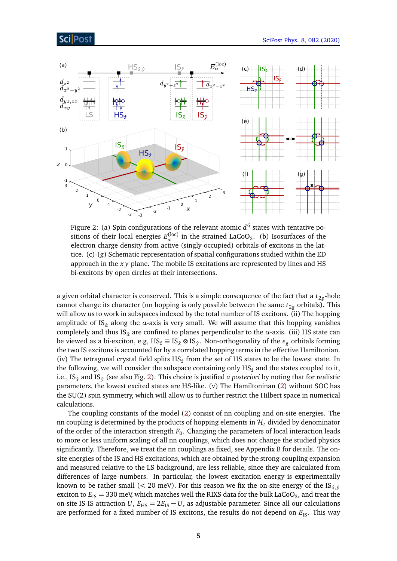### ScilPost

<span id="page-4-0"></span>

Figure 2: (a) Spin configurations of the relevant atomic *d* 6 states with tentative positions of their local energies  $E_\alpha^{(\text{loc})}$  in the strained LaCoO<sub>3</sub>. (b) Isosurfaces of the electron charge density from active (singly-occupied) orbitals of excitons in the lattice. (c)-(g) Schematic representation of spatial configurations studied within the ED approach in the *x y* plane. The mobile IS excitations are represented by lines and HS bi-excitons by open circles at their intersections.

a given orbital character is conserved. This is a simple consequence of the fact that a  $t_{2g}$ -hole cannot change its character (nn hopping is only possible between the same  $t_{2g}$  orbitals). This will allow us to work in subspaces indexed by the total number of IS excitons. (ii) The hopping amplitude of IS*α*<sup>ˆ</sup> along the *α*-axis is very small. We will assume that this hopping vanishes completely and thus IS*α*<sup>ˆ</sup> are confined to planes perpendicular to the *α*-axis. (iii) HS state can be viewed as a bi-exciton, e.g, HS*z*<sup>ˆ</sup> ≡ IS*x*<sup>ˆ</sup> ⊗ ISˆ*<sup>y</sup>* . Non-orthogonality of the *e<sup>g</sup>* orbitals forming the two IS excitons is accounted for by a correlated hopping terms in the effective Hamiltonian. (iv) The tetragonal crystal field splits  $HS_{\hat{z}}$  from the set of HS states to be the lowest state. In the following, we will consider the subspace containing only  $HS_{\hat{z}}$  and the states coupled to it, i.e., IS*x*<sup>ˆ</sup> and ISˆ*<sup>y</sup>* (see also Fig. [2\)](#page-4-0). This choice is justified *a posteriori* by noting that for realistic parameters, the lowest excited states are HS-like. (v) The Hamiltoninan [\(2\)](#page-3-0) without SOC has the SU(2) spin symmetry, which will allow us to further restrict the Hilbert space in numerical calculations.

The coupling constants of the model [\(2\)](#page-3-0) consist of nn coupling and on-site energies. The nn coupling is determined by the products of hopping elements in  $\mathcal{H}_t$  divided by denominator of the order of the interaction strength  $F_0$ . Changing the parameters of local interaction leads to more or less uniform scaling of all nn couplings, which does not change the studied physics significantly. Therefore, we treat the nn couplings as fixed, see Appendix [B](#page-15-0) for details. The onsite energies of the IS and HS excitations, which are obtained by the strong-coupling expansion and measured relative to the LS background, are less reliable, since they are calculated from differences of large numbers. In particular, the lowest excitation energy is experimentally known to be rather small ( $\leq$  20 meV). For this reason we fix the on-site energy of the IS<sub>*i*</sub><sup> $\hat{y}$ </sup> exciton to  $E_{\rm IS}$  = 330 meV, which matches well the RIXS data for the bulk LaCoO<sub>3</sub>, and treat the on-site IS-IS attraction *U*,  $E_{\text{HS}} = 2E_{\text{IS}} - U$ , as adjustable parameter. Since all our calculations are performed for a fixed number of IS excitons, the results do not depend on  $E_{\text{IS}}$ . This way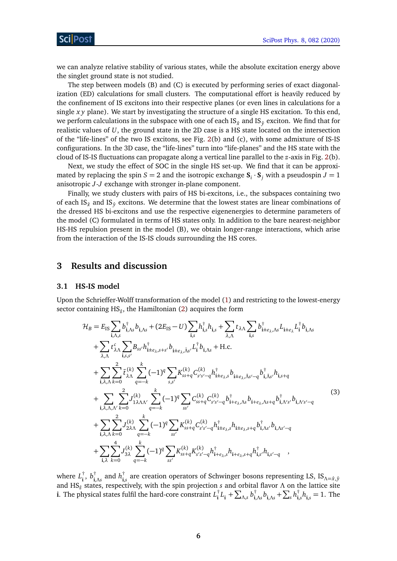we can analyze relative stability of various states, while the absolute excitation energy above the singlet ground state is not studied.

The step between models (B) and (C) is executed by performing series of exact diagonalization (ED) calculations for small clusters. The computational effort is heavily reduced by the confinement of IS excitons into their respective planes (or even lines in calculations for a single *x y* plane). We start by investigating the structure of a single HS excitation. To this end, we perform calculations in the subspace with one of each IS<sub> $\hat{x}$ </sub> and IS<sub> $\hat{y}$ </sub> exciton. We find that for realistic values of *U*, the ground state in the 2D case is a HS state located on the intersection of the "life-lines" of the two IS excitons, see Fig. [2\(](#page-4-0)b) and (c), with some admixture of IS-IS configurations. In the 3D case, the "life-lines" turn into "life-planes" and the HS state with the cloud of IS-IS fluctuations can propagate along a vertical line parallel to the *z*-axis in Fig. [2\(](#page-4-0)b).

Next, we study the effect of SOC in the single HS set-up. We find that it can be approximated by replacing the spin  $S = 2$  and the isotropic exchange  $S_i \cdot S_j$  with a pseudospin  $J = 1$ anisotropic *J*-*J* exchange with stronger in-plane component.

Finally, we study clusters with pairs of HS bi-excitons, i.e., the subspaces containing two of each IS<sub> $\hat{y}$ </sub> and IS<sub> $\hat{y}$ </sub> excitons. We determine that the lowest states are linear combinations of the dressed HS bi-excitons and use the respective eigenenergies to determine parameters of the model (C) formulated in terms of HS states only. In addition to the bare nearest-neighbor HS-HS repulsion present in the model (B), we obtain longer-range interactions, which arise from the interaction of the IS-IS clouds surrounding the HS cores.

### <span id="page-5-0"></span>**3 Results and discussion**

#### <span id="page-5-1"></span>**3.1 HS-IS model**

Upon the Schrieffer-Wolff transformation of the model [\(1\)](#page-3-1) and restricting to the lowest-energy sector containing HS*z*<sup>ˆ</sup> , the Hamiltonian [\(2\)](#page-3-0) acquires the form

<span id="page-5-2"></span>
$$
\mathcal{H}_{B} = E_{IS} \sum_{\mathbf{i},\Lambda,s} b^{\dagger}_{\mathbf{i},\Lambda,s} + (2E_{IS} - U) \sum_{\mathbf{i},s} h^{\dagger}_{\mathbf{i},s} h_{\mathbf{i},s} + \sum_{\lambda,\Lambda} t_{\lambda\Lambda} \sum_{\mathbf{i},s} b^{\dagger}_{\mathbf{i} \pm e_{\lambda},\Lambda s} L_{\mathbf{i} \pm e_{\lambda}} L_{\mathbf{i}}^{\dagger} b_{\mathbf{i},\Lambda s} \n+ \sum_{\lambda,\Lambda} t_{\lambda\Lambda}^{c} \sum_{\mathbf{i},s,s'} B_{ss'} h^{\dagger}_{\mathbf{i} \pm e_{\lambda},s+s'} b_{\mathbf{i} \pm e_{\lambda},\bar{\Lambda}s'} L_{\mathbf{i}}^{\dagger} b_{\mathbf{i},\Lambda s} + \text{H.c.} \n+ \sum_{\mathbf{i},\lambda,\Lambda} \sum_{k=0}^{2} \tilde{t}_{\lambda\Lambda}^{(k)} \sum_{q=-k}^{k} (-1)^{q} \sum_{s,s'} K_{ss+q}^{(k)} C_{s's'-q}^{(k)} h^{\dagger}_{\mathbf{i} \pm e_{\lambda},s} b_{\mathbf{i} \pm e_{\lambda},\bar{\Lambda}s'-q} b^{\dagger}_{\mathbf{i},\bar{\Lambda}s'} h_{\mathbf{i},s+q} \n+ \sum_{\mathbf{i},\lambda,\Lambda,\Lambda'} \sum_{k=0}^{2} J_{1\lambda\Lambda\Lambda'}^{(k)} \sum_{q=-k}^{k} (-1)^{q} \sum_{ss'} C_{ss+q}^{(k)} C_{s's'-q}^{(k)} h^{\dagger}_{\mathbf{i} \pm e_{\lambda},\Lambda s} b_{\mathbf{i} \pm e_{\lambda},\Lambda s+q} b^{\dagger}_{\mathbf{i},\Lambda's'} b_{\mathbf{i},\Lambda's'-q} \n+ \sum_{\mathbf{i},\lambda,\Lambda,\Lambda} \sum_{k=0}^{2} J_{2\lambda\Lambda}^{(k)} \sum_{q=-k}^{2} (-1)^{q} \sum_{ss'} K_{ss+q}^{(k)} C_{s's'-q}^{(k)} h^{\dagger}_{\mathbf{i} \pm e_{\lambda},s+q} b^{\dagger}_{\mathbf{i},\Lambda s'} b_{\mathbf{i},\Lambda s'-q} \n+ \sum_{\mathbf{i},\lambda} \sum_{k=0}^{4} J_{3\lambda}^{(k)} \
$$

where *L* †  $\frac{1}{\mathbf{i}}, b_{\mathbf{i}, \mathbf{j}}^{\dagger}$  $\int_{\mathbf{i},\Lambda s}^{\dagger}$  and  $h_{\mathbf{i},\Lambda s}^{\dagger}$ **i**,*s* are creation operators of Schwinger bosons representing LS, IS*Λ*=*x*ˆ,ˆ*<sup>y</sup>* and HS*z*<sup>ˆ</sup> states, respectively, with the spin projection *s* and orbital flavor *Λ* on the lattice site **i**. The physical states fulfil the hard-core constraint *L* †  $\int_{\mathbf{i}}^{\dagger} L_{\mathbf{i}} + \sum_{\Lambda, s} b_{\mathbf{i}, s}^{\dagger}$  $\int_{\mathbf{i},\Lambda s}^{\dagger} b_{\mathbf{i},\Lambda s} + \sum_{s} h_{\mathbf{i},s}^{\dagger}$  $\int_{\mathbf{i},s}^{1}h_{\mathbf{i},s} = 1$ . The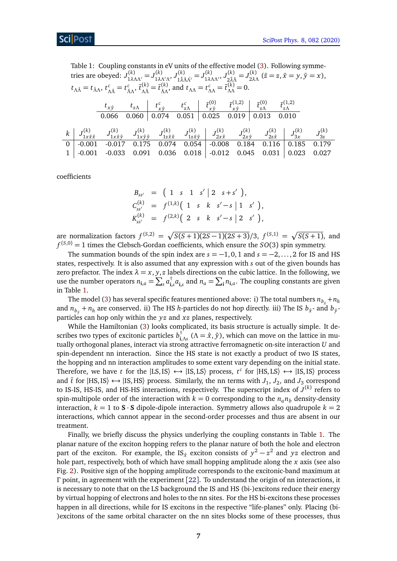<span id="page-6-0"></span>Table 1: Coupling constants in eV units of the effective model [\(3\)](#page-5-2). Following symmetries are obeyed:  $J_{1λΛΛ'}^{(k)} = J_{1λΛ'Λ}^{(k)}$ ,  $J_{1λΛ'Λ}^{(k)} = J_{1λΛΛ'}^{(k)}$ ,  $J_{2λ,0}^{(k)} = J_{1λΛΛ'}^{(k)}$ <sup>(k)</sup> =  $J_{2\bar{\lambda}\bar{\lambda}}^{(k)}$  $\overline{z}_{2\lambda\Lambda}^{(k)}$   $(\bar{z} = z, \bar{x} = y, \bar{y} = x),$ *t*<sub>*ΛΛ</sub>* = *t*<sub>*ΛΛ*</sub></sub>  $t_{\Lambda\bar{\Lambda}}^c = t_{\bar{\Lambda}\Lambda}^c$ ,  $\tilde{t}_{\Lambda\bar{\Lambda}}^{(k)} = \tilde{t}_{\bar{\Lambda}\Lambda}^{(k)}$ *(k)*</sup> and  $t_{\Lambda\Lambda} = t_{\Lambda\Lambda}^c = \tilde{t}_{\Lambda\Lambda}^{(k)} = 0.$  $t_{x\hat{y}}$   $t_{z\Lambda}$   $t_{x\Lambda}^c$ *x*  $\hat{y}$  *t*  $t_{z\Lambda}^{c}$   $\hat{t}_{x\hat{y}}^{(0)}$  $\begin{array}{cc} (0) & \tilde{t}^{(1,2)}_{x\hat{y}} \end{array}$  $\begin{array}{c|c} \tilde{t}^{(1,2)} \neq \tilde{t}^{(2,3)} \neq \tilde{t}^{(1,2)} \ \tilde{t}^{(1,3)} \neq \tilde{t}^{(1,3)} \end{array}$ 0.066 0.060 0.074 0.051 0.025 0.019 0.013 0.010  $k \mid J_{1x}^{(k)}$  $J_{1x\hat{x}\hat{x}}^{(k)}$   $J_{1x\hat{y}}^{(k)}$  $\begin{array}{cc} J^{(k)} & J^{(k)}_{1x} \end{array}$ *(k*)<br>  $1x \hat{y} \hat{y}$   $J_{1z \hat{x}}^{(k)}$  $J_{1z\hat{x}\hat{x}}^{(k)}$   $J_{1z\hat{x}}^{(k)}$  $J_{1z\hat{x}\hat{y}}^{(k)}$   $J_{2x}^{(k)}$  $J_{2x\hat{x}}^{(k)}$   $J_{2x}^{(k)}$  $\begin{array}{cc} J^{(k)} & J^{(k)}_{2z} \end{array}$  $\begin{array}{cc} J^{(k)}_{11} & J^{(k)}_{31} \end{array}$  $J_{3x}^{(k)}$   $J_{3z}^{(k)}$ 3*z* 0  $\vert$  -0.001 -0.017 0.175 0.074 0.054  $\vert$  -0.008 0.184 0.116  $\vert$  0.185 0.179  $1 \mid -0.001 \mid -0.033 \mid 0.091 \mid 0.036 \mid 0.018 \mid -0.012 \mid 0.045 \mid 0.031 \mid 0.023 \mid 0.027$ 

coefficients

$$
B_{ss'} = \begin{pmatrix} 1 & s & 1 & s' \ 2 & s + s' \end{pmatrix},
$$
  
\n
$$
C_{ss'}^{(k)} = f^{(1,k)} \begin{pmatrix} 1 & s & k & s' - s \ 1 & s' & k \end{pmatrix},
$$
  
\n
$$
K_{ss'}^{(k)} = f^{(2,k)} \begin{pmatrix} 2 & s & k & s' - s \ 2 & s' & k \end{pmatrix},
$$

are normalization factors  $f^{(S,2)} = \sqrt{S(S+1)(2S-1)(2S+3)}/3$ ,  $f^{(S,1)} = \sqrt{S(S+1)}$ , and  $f^{(S,0)} = 1$  times the Clebsch-Gordan coefficients, which ensure the  $SO(3)$  spin symmetry.

The summation bounds of the spin index are  $s = -1, 0, 1$  and  $s = -2, ..., 2$  for IS and HS states, respectively. It is also assumed that any expression with *s* out of the given bounds has zero prefactor. The index  $\lambda = x, y, z$  labels directions on the cubic lattice. In the following, we use the number operators  $n_{\mathbf{i},a} = \sum_s a_{\mathbf{i},a}^\dagger$  $\int_{\mathbf{i},s}^{\uparrow} a_{\mathbf{i},s}$  and  $n_a = \sum_{\mathbf{i}} n_{\mathbf{i},a}$ . The coupling constants are given in Table [1.](#page-6-0)

The model [\(3\)](#page-5-2) has several specific features mentioned above: i) The total numbers  $n_{b_{\hat{x}}}+n_h$ and  $n_{b_{\hat{y}}} + n_h$  are conserved. ii) The HS *h*-particles do not hop directly. iii) The IS  $b_{\hat{x}}$ - and  $b_{\hat{y}}$ particles can hop only within the *yz* and *xz* planes, respectively.

While the Hamiltonian [\(3\)](#page-5-2) looks complicated, its basis structure is actually simple. It describes two types of excitonic particles *b* †  $\int_{\mathbf{i},\Lambda_s}^{\mathbf{j}}(\Lambda=\hat{x},\hat{y})$ , which can move on the lattice in mutually orthogonal planes, interact via strong attractive ferromagnetic on-site interaction *U* and spin-dependent nn interaction. Since the HS state is not exactly a product of two IS states, the hopping and nn interaction amplitudes to some extent vary depending on the initial state. Therefore, we have *t* for the  $|LS, IS\rangle \leftrightarrow |IS, LS\rangle$  process,  $t^c$  for  $|HS, LS\rangle \leftrightarrow |IS, IS\rangle$  process and  $\tilde{t}$  for  $|{\rm HS, IS}\rangle \leftrightarrow |{\rm IS, HS}\rangle$  process. Similarly, the nn terms with  $J_1$ ,  $J_2$ , and  $J_3$  correspond to IS-IS, HS-IS, and HS-HS interactions, respectively. The superscript index of *J* (*k*) refers to spin-multipole order of the interaction with  $k = 0$  corresponding to the  $n_a n_b$  density-density interaction,  $k = 1$  to  $S \cdot S$  dipole-dipole interaction. Symmetry allows also quadrupole  $k = 2$ interactions, which cannot appear in the second-order processes and thus are absent in our treatment.

Finally, we briefly discuss the physics underlying the coupling constants in Table [1.](#page-6-0) The planar nature of the exciton hopping refers to the planar nature of both the hole and electron part of the exciton. For example, the IS<sub> $\hat{x}$ </sub> exciton consists of  $y^2 - z^2$  and  $yz$  electron and hole part, respectively, both of which have small hopping amplitude along the *x* axis (see also Fig. [2\)](#page-4-0). Positive sign of the hopping amplitude corresponds to the excitonic-band maximum at *Γ* point, in agreement with the experiment [[22](#page-18-4)]. To understand the origin of nn interactions, it is necessary to note that on the LS background the IS and HS (bi-)excitons reduce their energy by virtual hopping of electrons and holes to the nn sites. For the HS bi-excitons these processes happen in all directions, while for IS excitons in the respective "life-planes" only. Placing (bi-)excitons of the same orbital character on the nn sites blocks some of these processes, thus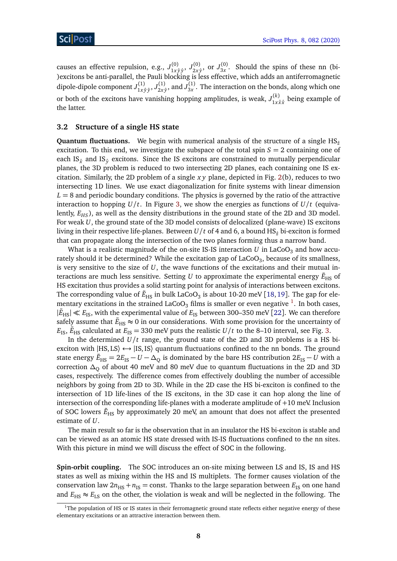causes an effective repulsion, e.g.,  $J_{1x}^{(0)}$ 1*x* ˆ*y* ˆ*y* , *J* (0)  $\frac{1}{2x \hat{y}}, \text{ or } J_{3x}^{(0)}$  $\frac{3x}{3x}$ . Should the spins of these nn (bi-)excitons be anti-parallel, the Pauli blocking is less effective, which adds an antiferromagnetic dipole-dipole component *J* (1)  $J_{1x \hat{y} \hat{y}}^{(1)}, J_{2x}^{(1)}$  $\frac{1}{2x\hat{y}},$  and  $J_{3x}^{(1)}$  $3x^{(1)}$ . The interaction on the bonds, along which one or both of the excitons have vanishing hopping amplitudes, is weak,  $J_{1x}^{(k)}$  $\int_{1x\hat{x}\hat{x}}^{(K)}$  being example of the latter.

### <span id="page-7-0"></span>**3.2 Structure of a single HS state**

**Quantum fluctuations.** We begin with numerical analysis of the structure of a single HS<sub><sup>*z*</sub></sup></sub> excitation. To this end, we investigate the subspace of the total spin  $S = 2$  containing one of each IS<sub> $\hat{x}$ </sub> and IS<sub> $\hat{y}$ </sub> excitons. Since the IS excitons are constrained to mutually perpendicular planes, the 3D problem is reduced to two intersecting 2D planes, each containing one IS excitation. Similarly, the 2D problem of a single *x y* plane, depicted in Fig. [2\(](#page-4-0)b), reduces to two intersecting 1D lines. We use exact diagonalization for finite systems with linear dimension  $L = 8$  and periodic boundary conditions. The physics is governed by the ratio of the attractive interaction to hopping  $U/t$ . In Figure [3,](#page-8-0) we show the energies as functions of  $U/t$  (equivalently, *EHS*), as well as the density distributions in the ground state of the 2D and 3D model. For weak *U*, the ground state of the 3D model consists of delocalized (plane-wave) IS excitons living in their respective life-planes. Between  $U/t$  of 4 and 6, a bound HS<sub> $\hat{z}$ </sub> bi-exciton is formed that can propagate along the intersection of the two planes forming thus a narrow band.

What is a realistic magnitude of the on-site IS-IS interaction  $U$  in LaCoO<sub>3</sub> and how accurately should it be determined? While the excitation gap of LaCoO $_3$ , because of its smallness, is very sensitive to the size of  $U$ , the wave functions of the excitations and their mutual interactions are much less sensitive. Setting  $U$  to approximate the experimental energy  $\tilde{E}_{\rm HS}$  of HS excitation thus provides a solid starting point for analysis of interactions between excitons. The corresponding value of  $\tilde{E}_{\rm HS}$  in bulk LaCoO $_3$  is about 10-20 meV [[18,](#page-18-0)[19](#page-18-1)]. The gap for ele-mentary excitations in the strained LaCoO<sub>3</sub> films is smaller or even negative <sup>[1](#page-7-1)</sup>. In both cases,  $|\tilde{E}_{\rm HS}| \ll E_{\rm IS}$ , with the experimental value of  $E_{\rm IS}$  between 300–350 meV [[22](#page-18-4)]. We can therefore safely assume that  $\tilde{E}_{\rm HS}\approx 0$  in our considerations. With some provision for the uncertainty of  $E_{\rm IS}$ ,  $\tilde{E}_{\rm HS}$  calculated at  $E_{\rm IS}$  = 330 meV puts the realistic *U*/*t* to the 8–10 interval, see Fig. [3.](#page-8-0)

In the determined  $U/t$  range, the ground state of the 2D and 3D problems is a HS biexciton with  $|$ HS, LS $\rangle \leftrightarrow |$ IS, IS $\rangle$  quantum fluctuations confined to the nn bonds. The ground state energy  $\tilde{E}_{\rm HS}=2E_{\rm IS}-U-\Delta_{\rm Q}$  is dominated by the bare HS contribution  $2E_{\rm IS}-U$  with a correction *∆*<sup>Q</sup> of about 40 meV and 80 meV due to quantum fluctuations in the 2D and 3D cases, respectively. The difference comes from effectively doubling the number of accessible neighbors by going from 2D to 3D. While in the 2D case the HS bi-exciton is confined to the intersection of 1D life-lines of the IS excitons, in the 3D case it can hop along the line of intersection of the corresponding life-planes with a moderate amplitude of  $+10$  meV. Inclusion of SOC lowers  $\tilde{E}_{\rm HS}$  by approximately 20 meV, an amount that does not affect the presented estimate of *U*.

The main result so far is the observation that in an insulator the HS bi-exciton is stable and can be viewed as an atomic HS state dressed with IS-IS fluctuations confined to the nn sites. With this picture in mind we will discuss the effect of SOC in the following.

**Spin-orbit coupling.** The SOC introduces an on-site mixing between LS and IS, IS and HS states as well as mixing within the HS and IS multiplets. The former causes violation of the conservation law  $2n_{\text{HS}} + n_{\text{IS}} = \text{const.}$  Thanks to the large separation between  $E_{\text{IS}}$  on one hand and  $E_{\text{HS}} \approx E_{\text{LS}}$  on the other, the violation is weak and will be neglected in the following. The

<span id="page-7-1"></span> $1$ The population of HS or IS states in their ferromagnetic ground state reflects either negative energy of these elementary excitations or an attractive interaction between them.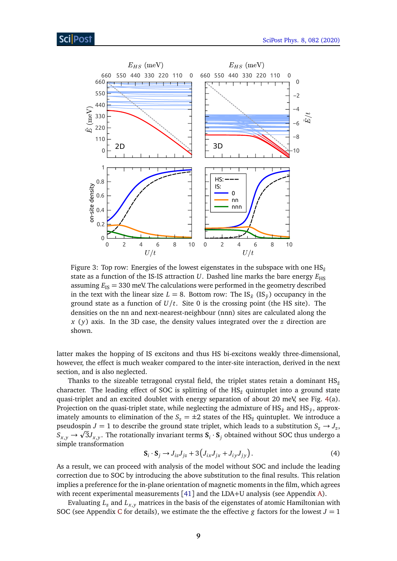<span id="page-8-0"></span>

Figure 3: Top row: Energies of the lowest eigenstates in the subspace with one  $HS_{\hat{\sigma}}$ state as a function of the IS-IS attraction  $U$ . Dashed line marks the bare energy  $E_{\text{HS}}$ assuming  $E_{IS}$  = 330 meV. The calculations were performed in the geometry described in the text with the linear size  $L = 8$ . Bottom row: The IS<sub> $\hat{x}$ </sub> (IS<sub> $\hat{y}$ </sub>) occupancy in the ground state as a function of  $U/t$ . Site 0 is the crossing point (the HS site). The densities on the nn and next-nearest-neighbour (nnn) sites are calculated along the *x* ( *y*) axis. In the 3D case, the density values integrated over the *z* direction are shown.

latter makes the hopping of IS excitons and thus HS bi-excitons weakly three-dimensional, however, the effect is much weaker compared to the inter-site interaction, derived in the next section, and is also neglected.

Thanks to the sizeable tetragonal crystal field, the triplet states retain a dominant  $HS_{\hat{z}}$ character. The leading effect of SOC is splitting of the HS*z*<sup>ˆ</sup> quintuplet into a ground state quasi-triplet and an excited doublet with energy separation of about 20 meV, see Fig. [4\(](#page-9-1)a). Projection on the quasi-triplet state, while neglecting the admixture of HS $_{\hat{\chi}}$  and HS $_{\hat{y}},$  approximately amounts to elimination of the  $S_z = \pm 2$  states of the HS<sub> $\hat{z}$ </sub> quintuplet. We introduce a pseudospin  $J = 1$  to describe the ground state triplet, which leads to a substitution  $S_z \rightarrow J_z$ ,  $S_{x,y} \to \sqrt{3}J_{x,y}$ . The rotationally invariant terms  $S_i \cdot S_j$  obtained without SOC thus undergo a simple transformation

$$
\mathbf{S}_i \cdot \mathbf{S}_j \rightarrow J_{iz} J_{jz} + 3 \left( J_{ix} J_{jx} + J_{iy} J_{jy} \right). \tag{4}
$$

As a result, we can proceed with analysis of the model without SOC and include the leading correction due to SOC by introducing the above substitution to the final results. This relation implies a preference for the in-plane orientation of magnetic moments in the film, which agrees with recent experimental measurements [[41](#page-19-8)] and the LDA+U analysis (see Appendix [A\)](#page-14-0).

Evaluating  $L_z$  and  $L_{x,y}$  matrices in the basis of the eigenstates of atomic Hamiltonian with SO[C](#page-16-0) (see Appendix C for details), we estimate the the effective *g* factors for the lowest  $J = 1$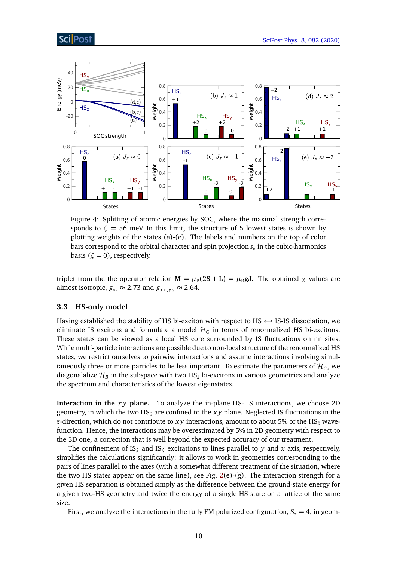# **ScilPost**

<span id="page-9-1"></span>

Figure 4: Splitting of atomic energies by SOC, where the maximal strength corresponds to  $\zeta = 56$  meV. In this limit, the structure of 5 lowest states is shown by plotting weights of the states (a)-(e). The labels and numbers on the top of color bars correspond to the orbital character and spin projection  $s_z$  in the cubic-harmonics basis ( $\zeta = 0$ ), respectively.

triplet from the the operator relation  $M = \mu_B(2S + L) = \mu_B gJ$ . The obtained *g* values are almost isotropic,  $g_{zz} \approx 2.73$  and  $g_{xx,yy} \approx 2.64$ .

### <span id="page-9-0"></span>**3.3 HS-only model**

Having established the stability of HS bi-exciton with respect to HS  $\leftrightarrow$  IS-IS dissociation, we eliminate IS excitons and formulate a model  $\mathcal{H}_C$  in terms of renormalized HS bi-excitons. These states can be viewed as a local HS core surrounded by IS fluctuations on nn sites. While multi-particle interactions are possible due to non-local structure of the renormalized HS states, we restrict ourselves to pairwise interactions and assume interactions involving simultaneously three or more particles to be less important. To estimate the parameters of  $\mathcal{H}_{C}$ , we diagonalalize  $\mathcal{H}_B$  in the subspace with two HS<sub> $\hat{z}$ </sub> bi-excitons in various geometries and analyze the spectrum and characteristics of the lowest eigenstates.

**Interaction in the** *x y* **plane.** To analyze the in-plane HS-HS interactions, we choose 2D geometry, in which the two  $HS_{\hat{\tau}}$  are confined to the *xy* plane. Neglected IS fluctuations in the *z*-direction, which do not contribute to *xy* interactions, amount to about 5% of the HS<sub><sup> $2$ </sub></sub> wave-</sub></sup> function. Hence, the interactions may be overestimated by 5% in 2D geometry with respect to the 3D one, a correction that is well beyond the expected accuracy of our treatment.

The confinement of IS<sub> $\hat{x}$ </sub> and IS<sub> $\hat{y}$ </sub> excitations to lines parallel to *y* and *x* axis, respectively, simplifies the calculations significantly: it allows to work in geometries corresponding to the pairs of lines parallel to the axes (with a somewhat different treatment of the situation, where the two HS states appear on the same line), see Fig.  $2(e)$  $2(e)$ - $(g)$ . The interaction strength for a given HS separation is obtained simply as the difference between the ground-state energy for a given two-HS geometry and twice the energy of a single HS state on a lattice of the same size.

First, we analyze the interactions in the fully FM polarized configuration,  $S_z = 4$ , in geom-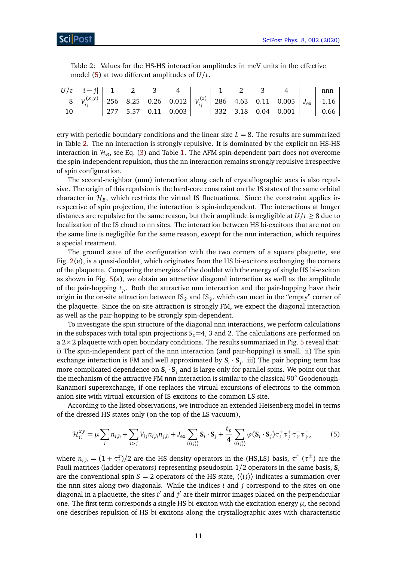<span id="page-10-1"></span>

|  |  |                                                  | Table 2: Values for the HS-HS interaction amplitudes in meV units in the effective |  |  |  |
|--|--|--------------------------------------------------|------------------------------------------------------------------------------------|--|--|--|
|  |  | model (5) at two different amplitudes of $U/t$ . |                                                                                    |  |  |  |

| $U/t$   $ i-j $   1   2   3                                                                                                           |  |  |  |  |                                                                       | nnn |
|---------------------------------------------------------------------------------------------------------------------------------------|--|--|--|--|-----------------------------------------------------------------------|-----|
| 8 $\left  V_{ii}^{(x,y)} \right $ 256 8.25 0.26 0.012 $\left  V_{ii}^{(z)} \right $ 286 4.63 0.11 0.005 $\left  J_{ex} \right $ -1.16 |  |  |  |  |                                                                       |     |
|                                                                                                                                       |  |  |  |  | $\vert$ 277 5.57 0.11 0.003 $\vert$ 332 3.18 0.04 0.001 $\vert$ -0.66 |     |

etry with periodic boundary conditions and the linear size  $L = 8$ . The results are summarized in Table [2.](#page-10-1) The nn interaction is strongly repulsive. It is dominated by the explicit nn HS-HS interaction in  $\mathcal{H}_B$ , see Eq. [\(3\)](#page-5-2) and Table [1.](#page-6-0) The AFM spin-dependent part does not overcome the spin-independent repulsion, thus the nn interaction remains strongly repulsive irrespective of spin configuration.

The second-neighbor (nnn) interaction along each of crystallographic axes is also repulsive. The origin of this repulsion is the hard-core constraint on the IS states of the same orbital character in  $\mathcal{H}_B$ , which restricts the virtual IS fluctuations. Since the constraint applies irrespective of spin projection, the interaction is spin-independent. The interactions at longer distances are repulsive for the same reason, but their amplitude is negligible at  $U/t \geq 8$  due to localization of the IS cloud to nn sites. The interaction between HS bi-excitons that are not on the same line is negligible for the same reason, except for the nnn interaction, which requires a special treatment.

The ground state of the configuration with the two corners of a square plaquette, see Fig. [2\(](#page-4-0)e), is a quasi-doublet, which originates from the HS bi-excitons exchanging the corners of the plaquette. Comparing the energies of the doublet with the energy of single HS bi-exciton as shown in Fig. [5\(](#page-11-1)a), we obtain an attractive diagonal interaction as well as the amplitude of the pair-hopping *t<sup>p</sup>* . Both the attractive nnn interaction and the pair-hopping have their origin in the on-site attraction between IS $_{\hat x}$  and IS $_{\hat y},$  which can meet in the "empty" corner of the plaquette. Since the on-site attraction is strongly FM, we expect the diagonal interaction as well as the pair-hopping to be strongly spin-dependent.

To investigate the spin structure of the diagonal nnn interactions, we perform calculations in the subspaces with total spin projections  $S<sub>z</sub>=4$ , 3 and 2. The calculations are performed on a  $2 \times 2$  plaquette with open boundary conditions. The results summarized in Fig. [5](#page-11-1) reveal that: i) The spin-independent part of the nnn interaction (and pair-hopping) is small. ii) The spin exchange interaction is FM and well approximated by  $S_i \cdot S_j$ . iii) The pair hopping term has more complicated dependence on  $\mathbf{S}_i \cdot \mathbf{S}_j$  and is large only for parallel spins. We point out that the mechanism of the attractive FM nnn interaction is similar to the classical 90° Goodenough-Kanamori superexchange, if one replaces the virtual excursions of electrons to the common anion site with virtual excursion of IS excitons to the common LS site.

According to the listed observations, we introduce an extended Heisenberg model in terms of the dressed HS states only (on the top of the LS vacuum),

<span id="page-10-0"></span>
$$
\mathcal{H}_{C}^{xy} = \mu \sum_{i} n_{i,h} + \sum_{i>j} V_{ij} n_{i,h} n_{j,h} + J_{\text{ex}} \sum_{\langle \langle ij \rangle \rangle} \mathbf{S}_{i} \cdot \mathbf{S}_{j} + \frac{t_{p}}{4} \sum_{\langle \langle ij \rangle \rangle} \varphi(\mathbf{S}_{i} \cdot \mathbf{S}_{j}) \tau_{i}^{+} \tau_{j}^{+} \tau_{i'}^{-} \tau_{j'}^{-} \tag{5}
$$

where  $n_{i,h} = (1 + \tau_i^z)/2$  are the HS density operators in the (HS,LS) basis,  $\tau^r$  ( $\tau^{\pm}$ ) are the Pauli matrices (ladder operators) representing pseudospin-1/2 operators in the same basis, **S***<sup>i</sup>* are the conventional spin  $S = 2$  operators of the HS state,  $\langle \langle ij \rangle \rangle$  indicates a summation over the nnn sites along two diagonals. While the indices *i* and *j* correspond to the sites on one diagonal in a plaquette, the sites *i'* and *j'* are their mirror images placed on the perpendicular one. The first term corresponds a single HS bi-exciton with the excitation energy  $\mu$ , the second one describes repulsion of HS bi-excitons along the crystallographic axes with characteristic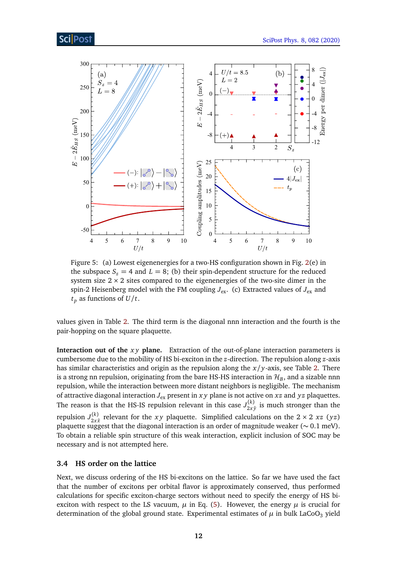<span id="page-11-1"></span>

Figure 5: (a) Lowest eigenenergies for a two-HS configuration shown in Fig. [2\(](#page-4-0)e) in the subspace  $S_z = 4$  and  $L = 8$ ; (b) their spin-dependent structure for the reduced system size  $2 \times 2$  sites compared to the eigenenergies of the two-site dimer in the spin-2 Heisenberg model with the FM coupling  $J_{ex}$ . (c) Extracted values of  $J_{ex}$  and  $t_p$  as functions of  $U/t$ .

values given in Table [2.](#page-10-1) The third term is the diagonal nnn interaction and the fourth is the pair-hopping on the square plaquette.

**Interaction out of the** *xy* **plane.** Extraction of the out-of-plane interaction parameters is cumbersome due to the mobility of HS bi-exciton in the *z*-direction. The repulsion along *z*-axis has similar characteristics and origin as the repulsion along the *x/y*-axis, see Table [2.](#page-10-1) There is a strong nn repulsion, originating from the bare HS-HS interaction in  $\mathcal{H}_B$ , and a sizable nnn repulsion, while the interaction between more distant neighbors is negligible. The mechanism of attractive diagonal interaction *J*ex present in *x y* plane is not active on *xz* and *yz* plaquettes. The reason is that the HS-IS repulsion relevant in this case  $J_{2x}^{(k)}$  $\frac{2x}{2x}$  is much stronger than the repulsion  $J_{2x}^{(k)}$  $\frac{f(x)}{2x\hat{x}}$  relevant for the *xy* plaquette. Simplified calculations on the 2 × 2 *xz* (*yz*) plaquette suggest that the diagonal interaction is an order of magnitude weaker (∼ 0.1 meV). To obtain a reliable spin structure of this weak interaction, explicit inclusion of SOC may be necessary and is not attempted here.

#### <span id="page-11-0"></span>**3.4 HS order on the lattice**

Next, we discuss ordering of the HS bi-excitons on the lattice. So far we have used the fact that the number of excitons per orbital flavor is approximately conserved, thus performed calculations for specific exciton-charge sectors without need to specify the energy of HS biexciton with respect to the LS vacuum,  $\mu$  in Eq. [\(5\)](#page-10-0). However, the energy  $\mu$  is crucial for determination of the global ground state. Experimental estimates of  $\mu$  in bulk LaCoO<sub>3</sub> yield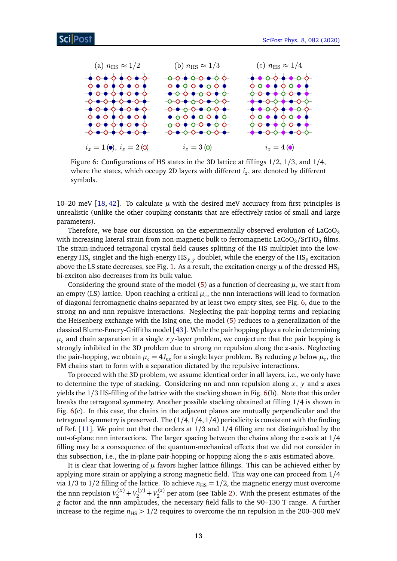<span id="page-12-0"></span>

Figure 6: Configurations of HS states in the 3D lattice at fillings 1/2, 1/3, and 1/4, where the states, which occupy 2D layers with different *i<sup>z</sup>* , are denoted by different symbols.

10–20 meV  $[18, 42]$  $[18, 42]$  $[18, 42]$  $[18, 42]$  $[18, 42]$ . To calculate  $\mu$  with the desired meV accuracy from first principles is unrealistic (unlike the other coupling constants that are effectively ratios of small and large parameters).

Therefore, we base our discussion on the experimentally observed evolution of  $LaCoO<sub>3</sub>$ with increasing lateral strain from non-magnetic bulk to ferromagnetic LaCoO<sub>3</sub>/SrTiO<sub>3</sub> films. The strain-induced tetragonal crystal field causes splitting of the HS multiplet into the lowenergy HS*z*<sup>ˆ</sup> singlet and the high-energy HS*x*ˆ,ˆ*<sup>y</sup>* doublet, while the energy of the HS*z*<sup>ˆ</sup> excitation above the LS state decreases, see Fig. [1.](#page-2-1) As a result, the excitation energy  $\mu$  of the dressed HS<sub><sup> $\alpha$ </sub></sub></sub></sup> bi-exciton also decreases from its bulk value.

Considering the ground state of the model [\(5\)](#page-10-0) as a function of decreasing  $\mu$ , we start from an empty (LS) lattice. Upon reaching a critical  $\mu_c$ , the nnn interactions will lead to formation of diagonal ferromagnetic chains separated by at least two empty sites, see Fig. [6,](#page-12-0) due to the strong nn and nnn repulsive interactions. Neglecting the pair-hopping terms and replacing the Heisenberg exchange with the Ising one, the model [\(5\)](#page-10-0) reduces to a generalization of the classical Blume-Emery-Griffiths model [[43](#page-19-10)]. While the pair hopping plays a role in determining  $\mu_c$  and chain separation in a single *xy*-layer problem, we conjecture that the pair hopping is strongly inhibited in the 3D problem due to strong nn repulsion along the *z*-axis. Neglecting the pair-hopping, we obtain  $\mu_c = 4J_{\rm ex}$  for a single layer problem. By reducing  $\mu$  below  $\mu_c$ , the FM chains start to form with a separation dictated by the repulsive interactions.

To proceed with the 3D problem, we assume identical order in all layers, i.e., we only have to determine the type of stacking. Considering nn and nnn repulsion along *x*, *y* and *z* axes yields the 1/3 HS-filling of the lattice with the stacking shown in Fig. [6\(](#page-12-0)b). Note that this order breaks the tetragonal symmetry. Another possible stacking obtained at filling 1/4 is shown in Fig. [6\(](#page-12-0)c). In this case, the chains in the adjacent planes are mutually perpendicular and the tetragonal symmetry is preserved. The (1*/*4, 1*/*4, 1*/*4) periodicity is consistent with the finding of Ref. [[11](#page-17-4)]. We point out that the orders at 1/3 and 1/4 filling are not distinguished by the out-of-plane nnn interactions. The larger spacing between the chains along the *z*-axis at 1/4 filling may be a consequence of the quantum-mechanical effects that we did not consider in this subsection, i.e., the in-plane pair-hopping or hopping along the *z*-axis estimated above.

It is clear that lowering of  $\mu$  favors higher lattice fillings. This can be achieved either by applying more strain or applying a strong magnetic field. This way one can proceed from 1/4 via 1/3 to 1/2 filling of the lattice. To achieve  $n_{\text{HS}} = 1/2$ , the magnetic energy must overcome the nnn repulsion  $V_2^{(x)} + V_2^{(y)} + V_2^{(z)}$  per atom (see Table [2\)](#page-10-1). With the present estimates of the *g* factor and the nnn amplitudes, the necessary field falls to the 90–130 T range. A further increase to the regime  $n_{\text{H}S}$  > 1/2 requires to overcome the nn repulsion in the 200–300 meV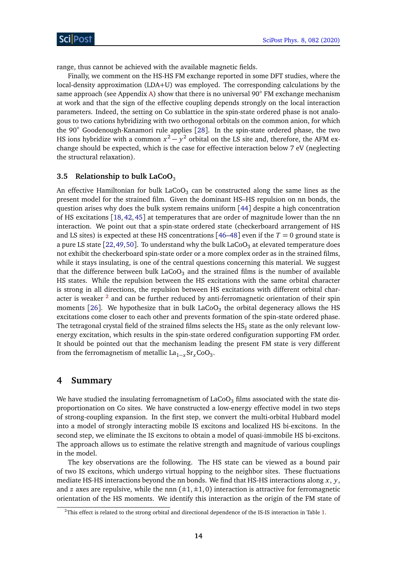range, thus cannot be achieved with the available magnetic fields.

Finally, we comment on the HS-HS FM exchange reported in some DFT studies, where the local-density approximation (LDA+U) was employed. The corresponding calculations by the same approach (see Appendix [A\)](#page-14-0) show that there is no universal  $90^\circ$  FM exchange mechanism at work and that the sign of the effective coupling depends strongly on the local interaction parameters. Indeed, the setting on Co sublattice in the spin-state ordered phase is not analogous to two cations hybridizing with two orthogonal orbitals on the common anion, for which the 90◦ Goodenough-Kanamori rule applies [[28](#page-18-11)]. In the spin-state ordered phase, the two HS ions hybridize with a common  $x^2 - y^2$  orbital on the LS site and, therefore, the AFM exchange should be expected, which is the case for effective interaction below 7 eV (neglecting the structural relaxation).

### <span id="page-13-0"></span>**3.5 Relationship to bulk LaCoO**<sup>3</sup>

An effective Hamiltonian for bulk LaCoO $_3$  can be constructed along the same lines as the present model for the strained film. Given the dominant HS–HS repulsion on nn bonds, the question arises why does the bulk system remains uniform [[44](#page-19-11)] despite a high concentration of HS excitations [[18,](#page-18-0) [42,](#page-19-9) [45](#page-19-12)] at temperatures that are order of magnitude lower than the nn interaction. We point out that a spin-state ordered state (checkerboard arrangement of HS and LS sites) is expected at these HS concentrations [[46–](#page-20-0)[48](#page-20-1)] even if the  $T = 0$  ground state is a pure LS state [[22,](#page-18-4)[49,](#page-20-2)[50](#page-20-3)]. To understand why the bulk LaCoO<sub>3</sub> at elevated temperature does not exhibit the checkerboard spin-state order or a more complex order as in the strained films, while it stays insulating, is one of the central questions concerning this material. We suggest that the difference between bulk LaCoO<sub>3</sub> and the strained films is the number of available HS states. While the repulsion between the HS excitations with the same orbital character is strong in all directions, the repulsion between HS excitations with different orbital character is weaker  $^2$  $^2$  and can be further reduced by anti-ferromagnetic orientation of their spin moments [[26](#page-18-8)]. We hypothesize that in bulk LaCoO $_3$  the orbital degeneracy allows the HS excitations come closer to each other and prevents formation of the spin-state ordered phase. The tetragonal crystal field of the strained films selects the  $\mathrm{HS}_\hat{z}$  state as the only relevant lowenergy excitation, which results in the spin-state ordered configuration supporting FM order. It should be pointed out that the mechanism leading the present FM state is very different from the ferromagnetism of metallic  $\text{La}_{1-x}\text{Sr}_x\text{CoO}_3$ .

# <span id="page-13-1"></span>**4 Summary**

We have studied the insulating ferromagnetism of  $LaCoO<sub>3</sub>$  films associated with the state disproportionation on Co sites. We have constructed a low-energy effective model in two steps of strong-coupling expansion. In the first step, we convert the multi-orbital Hubbard model into a model of strongly interacting mobile IS excitons and localized HS bi-excitons. In the second step, we eliminate the IS excitons to obtain a model of quasi-immobile HS bi-excitons. The approach allows us to estimate the relative strength and magnitude of various couplings in the model.

The key observations are the following. The HS state can be viewed as a bound pair of two IS excitons, which undergo virtual hopping to the neighbor sites. These fluctuations mediate HS-HS interactions beyond the nn bonds. We find that HS-HS interactions along *x*, *y*, and *z* axes are repulsive, while the nnn  $(\pm 1, \pm 1, 0)$  interaction is attractive for ferromagnetic orientation of the HS moments. We identify this interaction as the origin of the FM state of

<span id="page-13-2"></span><sup>&</sup>lt;sup>2</sup>This effect is related to the strong orbital and directional dependence of the IS-IS interaction in Table [1.](#page-6-0)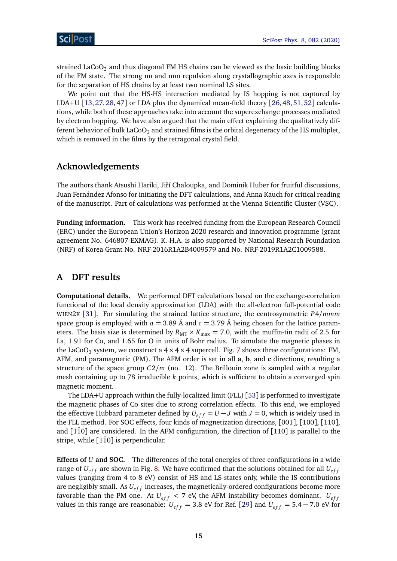strained LaCoO<sub>3</sub> and thus diagonal FM HS chains can be viewed as the basic building blocks of the FM state. The strong nn and nnn repulsion along crystallographic axes is responsible for the separation of HS chains by at least two nominal LS sites.

We point out that the HS-HS interaction mediated by IS hopping is not captured by LDA+U [[13,](#page-17-6) [27,](#page-18-9) [28,](#page-18-11) [47](#page-20-4)] or LDA plus the dynamical mean-field theory [[26,](#page-18-8) [48,](#page-20-1) [51,](#page-20-5) [52](#page-20-6)] calculations, while both of these approaches take into account the superexchange processes mediated by electron hopping. We have also argued that the main effect explaining the qualitatively different behavior of bulk LaCoO<sub>3</sub> and strained films is the orbital degeneracy of the HS multiplet, which is removed in the films by the tetragonal crystal field.

# **Acknowledgements**

The authors thank Atsushi Hariki, Jiří Chaloupka, and Dominik Huber for fruitful discussions, Juan Fernández Afonso for initiating the DFT calculations, and Anna Kauch for critical reading of the manuscript. Part of calculations was performed at the Vienna Scientific Cluster (VSC).

**Funding information.** This work has received funding from the European Research Council (ERC) under the European Union's Horizon 2020 research and innovation programme (grant agreement No. 646807-EXMAG). K.-H.A. is also supported by National Research Foundation (NRF) of Korea Grant No. NRF-2016R1A2B4009579 and No. NRF-2019R1A2C1009588.

# <span id="page-14-0"></span>**A DFT results**

**Computational details.** We performed DFT calculations based on the exchange-correlation functional of the local density approximation (LDA) with the all-electron full-potential code WIEN2<sup>K</sup> [[31](#page-19-0)]. For simulating the strained lattice structure, the centrosymmetric *P*4*/mmm* space group is employed with  $a = 3.89$  Å and  $c = 3.79$  Å being chosen for the lattice parameters. The basis size is determined by  $R_{\text{MT}} \times K_{\text{max}} = 7.0$ , with the muffin-tin radii of 2.5 for La, 1.91 for Co, and 1.65 for O in units of Bohr radius. To simulate the magnetic phases in the LaCoO<sub>3</sub> system, we construct a  $4 \times 4 \times 4$  supercell. Fig. [7](#page-15-1) shows three configurations: FM, AFM, and paramagnetic (PM). The AFM order is set in all **a**, **b**, and **c** directions, resulting a structure of the space group *C*2*/m* (no. 12). The Brillouin zone is sampled with a regular mesh containing up to 78 irreducible *k* points, which is sufficient to obtain a converged spin magnetic moment.

The LDA+U approach within the fully-localized limit (FLL) [[53](#page-20-7)] is performed to investigate the magnetic phases of Co sites due to strong correlation effects. To this end, we employed the effective Hubbard parameter defined by  $U_{eff} = U - J$  with  $J = 0$ , which is widely used in the FLL method. For SOC effects, four kinds of magnetization directions, [001], [100], [110], and  $[1\overline{1}0]$  are considered. In the AFM configuration, the direction of  $[110]$  is parallel to the stripe, while  $[1\bar{1}0]$  is perpendicular.

**Effects of** *U* **and SOC.** The differences of the total energies of three configurations in a wide range of  $U_{eff}$  are shown in Fig. [8.](#page-15-2) We have confirmed that the solutions obtained for all  $U_{eff}$ values (ranging from 4 to 8 eV) consist of HS and LS states only, while the IS contributions are negligibly small. As  $U_{eff}$  increases, the magnetically-ordered configurations become more favorable than the PM one. At  $U_{eff}$  < 7 eV, the AFM instability becomes dominant.  $U_{eff}$ values in this range are reasonable:  $U_{eff} = 3.8$  eV for Ref. [[29](#page-18-12)] and  $U_{eff} = 5.4 - 7.0$  eV for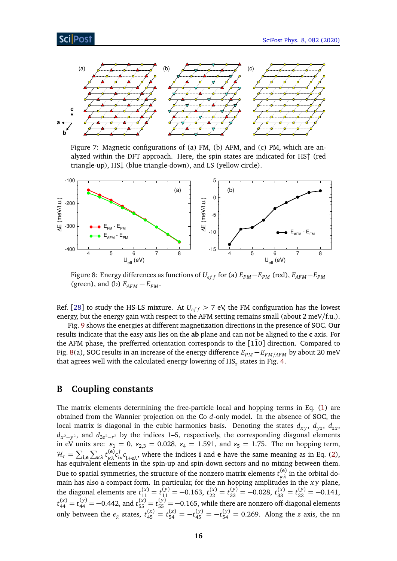# Sci Post

<span id="page-15-1"></span>

Figure 7: Magnetic configurations of (a) FM, (b) AFM, and (c) PM, which are analyzed within the DFT approach. Here, the spin states are indicated for HS↑ (red triangle-up), HS↓ (blue triangle-down), and LS (yellow circle).

<span id="page-15-2"></span>

Figure 8: Energy differences as functions of  $U_{eff}$  for (a)  $E_{FM} - E_{PM}$  (red),  $E_{AFM} - E_{PM}$ (green), and (b)  $E_{AFM} - E_{FM}$ .

Ref. [[28](#page-18-11)] to study the HS-LS mixture. At  $U_{eff} > 7$  eV, the FM configuration has the lowest energy, but the energy gain with respect to the AFM setting remains small (about 2 meV/f.u.).

Fig. [9](#page-16-2) shows the energies at different magnetization directions in the presence of SOC. Our results indicate that the easy axis lies on the **ab** plane and can not be aligned to the **c** axis. For the AFM phase, the prefferred orientation corresponds to the  $[1\bar{1}0]$  direction. Compared to Fig. [8\(](#page-15-2)a), SOC results in an increase of the energy difference *EPM* − *EF M/AF M* by about 20 meV that agrees well with the calculated energy lowering of HS*<sup>z</sup>* states in Fig. [4.](#page-9-1)

## <span id="page-15-0"></span>**B Coupling constants**

The matrix elements determining the free-particle local and hopping terms in Eq. [\(1\)](#page-3-1) are obtained from the Wannier projection on the Co *d*-only model. In the absence of SOC, the local matrix is diagonal in the cubic harmonics basis. Denoting the states  $d_{xy}$ ,  $d_{yz}$ ,  $d_{zy}$ , *d*<sub>x</sub>2−<sub>*y*</sub>2, and *d*<sub>3z</sub>2−<sub>*r*</sub>2 by the indices 1−5, respectively, the corresponding diagonal elements in eV units are:  $\varepsilon_1 = 0$ ,  $\varepsilon_{2,3} = 0.028$ ,  $\varepsilon_4 = 1.591$ , and  $\varepsilon_5 = 1.75$ . The nn hopping term,  $\mathcal{H}_t = \sum_{\mathbf{i},\mathbf{e}} \sum_{\kappa\lambda} t_{\kappa\lambda}^{(\mathbf{e})} c_{\mathbf{i}\mathbf{i}}^{\dagger}$  $\int_{i\kappa}^{1} c_{i+e\lambda}$ , where the indices **i** and **e** have the same meaning as in Eq. [\(2\)](#page-3-0), has equivalent elements in the spin-up and spin-down sectors and no mixing between them. Due to spatial symmetries, the structure of the nonzero matrix elements  $t_{\kappa\lambda}^{(\mathbf{e})}$  in the orbital domain has also a compact form. In particular, for the nn hopping amplitudes in the *x y* plane, the diagonal elements are  $t_{11}^{(x)} = t_{11}^{(y)} = -0.163$ ,  $t_{22}^{(x)} = t_{33}^{(y)} = -0.028$ ,  $t_{33}^{(x)} = t_{22}^{(y)} = -0.141$ ,  $t_{44}^{(x)} = t_{44}^{(y)} = -0.442$ , and  $t_{55}^{(x)} = t_{55}^{(y)} = -0.165$ , while there are nonzero off-diagonal elements only between the  $e_g$  states,  $t_{45}^{(x)} = t_{54}^{(x)} = -t_{45}^{(y)} = -t_{54}^{(y)} = 0.269$ . Along the *z* axis, the nn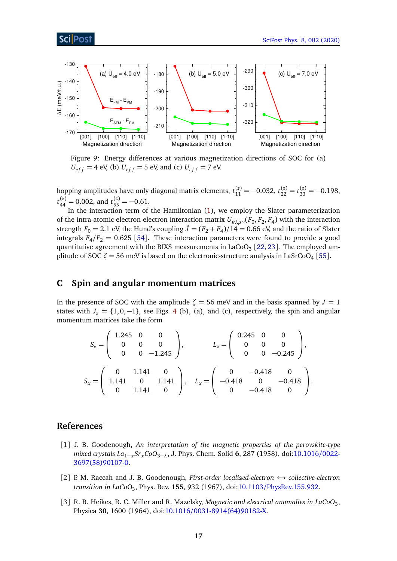## ScilPost

<span id="page-16-2"></span>

Figure 9: Energy differences at various magnetization directions of SOC for (a)  $U_{eff}$  = 4 eV, (b)  $U_{eff}$  = 5 eV, and (c)  $U_{eff}$  = 7 eV.

hopping amplitudes have only diagonal matrix elements,  $t_{11}^{(z)} = -0.032$ ,  $t_{22}^{(z)} = t_{33}^{(z)} = -0.198$ ,  $t_{44}^{(z)} = 0.002$ , and  $t_{55}^{(z)} = -0.61$ .

In the interaction term of the Hamiltonian [\(1\)](#page-3-1), we employ the Slater parameterization of the intra-atomic electron-electron interaction matrix  $U_{\kappa\lambda\mu\nu}(F_0, F_2, F_4)$  with the interaction strength  $F_0 = 2.1$  eV, the Hund's coupling  $\tilde{J} = (F_2 + F_4)/14 = 0.66$  eV, and the ratio of Slater integrals  $F_4/F_2 = 0.625$  [[54](#page-20-8)]. These interaction parameters were found to provide a good quantitative agreement with the RIXS measurements in LaCoO $_3$  [[22,](#page-18-4) [23](#page-18-5)]. The employed am-plitude of SOC ζ = 56 meV is based on the electronic-structure analysis in LaSrCoO<sub>4</sub> [[55](#page-20-9)].

### <span id="page-16-0"></span>**C Spin and angular momentum matrices**

In the presence of SOC with the amplitude  $\zeta = 56$  meV and in the basis spanned by  $J = 1$ states with  $J_z = \{1, 0, -1\}$ , see Figs. [4](#page-9-1) (b), (a), and (c), respectively, the spin and angular momentum matrices take the form

$$
S_z = \begin{pmatrix} 1.245 & 0 & 0 \\ 0 & 0 & 0 \\ 0 & 0 & -1.245 \end{pmatrix}, \qquad L_z = \begin{pmatrix} 0.245 & 0 & 0 \\ 0 & 0 & 0 \\ 0 & 0 & -0.245 \end{pmatrix},
$$

$$
S_x = \begin{pmatrix} 0 & 1.141 & 0 \\ 1.141 & 0 & 1.141 \\ 0 & 1.141 & 0 \end{pmatrix}, \quad L_x = \begin{pmatrix} 0 & -0.418 & 0 \\ -0.418 & 0 & -0.418 \\ 0 & -0.418 & 0 \end{pmatrix}.
$$

## **References**

- <span id="page-16-1"></span>[1] J. B. Goodenough, *An interpretation of the magnetic properties of the perovskite-type mixed crystals La*1−*xSrxCoO*3−*λ*, J. Phys. Chem. Solid **6**, 287 (1958), doi[:10.1016](https://doi.org/10.1016/0022-3697(58)90107-0)/0022- [3697\(58\)90107-0.](https://doi.org/10.1016/0022-3697(58)90107-0)
- [2] P. M. Raccah and J. B. Goodenough, *First-order localized-electron* ↔ *collective-electron transition in LaCo*O<sup>3</sup> , Phys. Rev. **155**, 932 (1967), doi:10.1103/[PhysRev.155.932.](https://doi.org/10.1103/PhysRev.155.932)
- [3] R. R. Heikes, R. C. Miller and R. Mazelsky, *Magnetic and electrical anomalies in LaCoO*<sup>3</sup> , Physica **30**, 1600 (1964), doi:10.1016/[0031-8914\(64\)90182-X.](https://doi.org/10.1016/0031-8914(64)90182-X)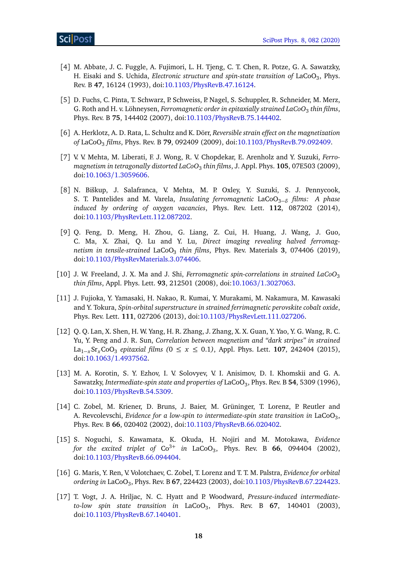- <span id="page-17-0"></span>[4] M. Abbate, J. C. Fuggle, A. Fujimori, L. H. Tjeng, C. T. Chen, R. Potze, G. A. Sawatzky, H. Eisaki and S. Uchida, *Electronic structure and spin-state transition of* LaCoO<sub>3</sub>, Phys. Rev. B **47**, 16124 (1993), doi:10.1103/[PhysRevB.47.16124.](https://doi.org/10.1103/PhysRevB.47.16124)
- <span id="page-17-1"></span>[5] D. Fuchs, C. Pinta, T. Schwarz, P. Schweiss, P. Nagel, S. Schuppler, R. Schneider, M. Merz, G. Roth and H. v. Löhneysen, *Ferromagnetic order in epitaxially strained LaCoO*<sup>3</sup> *thin films*, Phys. Rev. B **75**, 144402 (2007), doi:10.1103/[PhysRevB.75.144402.](https://doi.org/10.1103/PhysRevB.75.144402)
- [6] A. Herklotz, A. D. Rata, L. Schultz and K. Dörr, *Reversible strain effect on the magnetization of* LaCoO<sup>3</sup> *films*, Phys. Rev. B **79**, 092409 (2009), doi:10.1103/[PhysRevB.79.092409.](https://doi.org/10.1103/PhysRevB.79.092409)
- [7] V. V. Mehta, M. Liberati, F. J. Wong, R. V. Chopdekar, E. Arenholz and Y. Suzuki, *Ferromagnetism in tetragonally distorted LaCoO*<sup>3</sup> *thin films*, J. Appl. Phys. **105**, 07E503 (2009), doi:10.1063/[1.3059606.](https://doi.org/10.1063/1.3059606)
- [8] N. Biškup, J. Salafranca, V. Mehta, M. P. Oxley, Y. Suzuki, S. J. Pennycook, S. T. Pantelides and M. Varela, *Insulating ferromagnetic* LaCoO3−*<sup>δ</sup> films: A phase induced by ordering of oxygen vacancies*, Phys. Rev. Lett. **112**, 087202 (2014), doi:10.1103/[PhysRevLett.112.087202.](https://doi.org/10.1103/PhysRevLett.112.087202)
- <span id="page-17-2"></span>[9] Q. Feng, D. Meng, H. Zhou, G. Liang, Z. Cui, H. Huang, J. Wang, J. Guo, C. Ma, X. Zhai, Q. Lu and Y. Lu, *Direct imaging revealing halved ferromagnetism in tensile-strained* LaCoO<sup>3</sup> *thin films*, Phys. Rev. Materials **3**, 074406 (2019), doi:10.1103/[PhysRevMaterials.3.074406.](https://doi.org/10.1103/PhysRevMaterials.3.074406)
- <span id="page-17-3"></span>[10] J. W. Freeland, J. X. Ma and J. Shi, *Ferromagnetic spin-correlations in strained LaCoO*<sup>3</sup> *thin films*, Appl. Phys. Lett. **93**, 212501 (2008), doi:10.1063/[1.3027063.](https://doi.org/10.1063/1.3027063)
- <span id="page-17-4"></span>[11] J. Fujioka, Y. Yamasaki, H. Nakao, R. Kumai, Y. Murakami, M. Nakamura, M. Kawasaki and Y. Tokura, *Spin-orbital superstructure in strained ferrimagnetic perovskite cobalt oxide*, Phys. Rev. Lett. **111**, 027206 (2013), doi:10.1103/[PhysRevLett.111.027206.](https://doi.org/10.1103/PhysRevLett.111.027206)
- <span id="page-17-5"></span>[12] Q. Q. Lan, X. Shen, H. W. Yang, H. R. Zhang, J. Zhang, X. X. Guan, Y. Yao, Y. G. Wang, R. C. Yu, Y. Peng and J. R. Sun, *Correlation between magnetism and "dark stripes" in strained* La1−*x*Sr*x*CoO<sup>3</sup> *epitaxial films (*0 ≤ *x* ≤ 0.1*)*, Appl. Phys. Lett. **107**, 242404 (2015), doi:10.1063/[1.4937562.](https://doi.org/10.1063/1.4937562)
- <span id="page-17-6"></span>[13] M. A. Korotin, S. Y. Ezhov, I. V. Solovyev, V. I. Anisimov, D. I. Khomskii and G. A. Sawatzky, *Intermediate-spin state and properties of* LaCoO<sup>3</sup> , Phys. Rev. B **54**, 5309 (1996), doi:10.1103/[PhysRevB.54.5309.](https://doi.org/10.1103/PhysRevB.54.5309)
- [14] C. Zobel, M. Kriener, D. Bruns, J. Baier, M. Grüninger, T. Lorenz, P. Reutler and A. Revcolevschi, *Evidence for a low-spin to intermediate-spin state transition in* LaCoO<sub>3</sub>, Phys. Rev. B **66**, 020402 (2002), doi:10.1103/[PhysRevB.66.020402.](https://doi.org/10.1103/PhysRevB.66.020402)
- [15] S. Noguchi, S. Kawamata, K. Okuda, H. Nojiri and M. Motokawa, *Evidence* for the excited triplet of  $Co^{3+}$  in LaCoO<sub>3</sub>, Phys. Rev. B  $66$ , 094404 (2002), doi:10.1103/[PhysRevB.66.094404.](https://doi.org/10.1103/PhysRevB.66.094404)
- [16] G. Maris, Y. Ren, V. Volotchaev, C. Zobel, T. Lorenz and T. T. M. Palstra, *Evidence for orbital ordering in* LaCoO<sup>3</sup> , Phys. Rev. B **67**, 224423 (2003), doi:10.1103/[PhysRevB.67.224423.](https://doi.org/10.1103/PhysRevB.67.224423)
- <span id="page-17-7"></span>[17] T. Vogt, J. A. Hriljac, N. C. Hyatt and P. Woodward, *Pressure-induced intermediateto-low spin state transition in* LaCoO<sup>3</sup> , Phys. Rev. B **67**, 140401 (2003), doi:10.1103/[PhysRevB.67.140401.](https://doi.org/10.1103/PhysRevB.67.140401)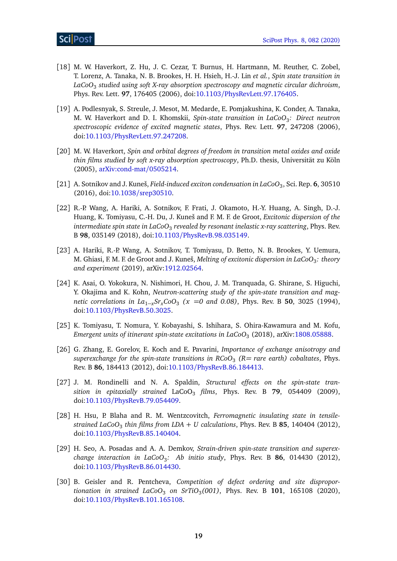- <span id="page-18-0"></span>[18] M. W. Haverkort, Z. Hu, J. C. Cezar, T. Burnus, H. Hartmann, M. Reuther, C. Zobel, T. Lorenz, A. Tanaka, N. B. Brookes, H. H. Hsieh, H.-J. Lin *et al.*, *Spin state transition in LaCoO*<sup>3</sup> *studied using soft X-ray absorption spectroscopy and magnetic circular dichroism*, Phys. Rev. Lett. **97**, 176405 (2006), doi:10.1103/[PhysRevLett.97.176405.](https://doi.org/10.1103/PhysRevLett.97.176405)
- <span id="page-18-1"></span>[19] A. Podlesnyak, S. Streule, J. Mesot, M. Medarde, E. Pomjakushina, K. Conder, A. Tanaka, M. W. Haverkort and D. I. Khomskii, *Spin-state transition in LaCoO*<sup>3</sup> *: Direct neutron spectroscopic evidence of excited magnetic states*, Phys. Rev. Lett. **97**, 247208 (2006), doi:10.1103/[PhysRevLett.97.247208.](https://doi.org/10.1103/PhysRevLett.97.247208)
- <span id="page-18-2"></span>[20] M. W. Haverkort, *Spin and orbital degrees of freedom in transition metal oxides and oxide thin films studied by soft x-ray absorption spectroscopy*, Ph.D. thesis, Universität zu Köln (2005), [arXiv:cond-mat](https://arxiv.org/abs/cond-mat/0505214)/0505214.
- <span id="page-18-3"></span>[21] A. Sotnikov and J. Kuneš, *Field-induced exciton condensation in LaCoO*<sup>3</sup> , Sci. Rep. **6**, 30510 (2016), doi:10.1038/[srep30510.](https://doi.org/10.1038/srep30510)
- <span id="page-18-4"></span>[22] R.-P. Wang, A. Hariki, A. Sotnikov, F. Frati, J. Okamoto, H.-Y. Huang, A. Singh, D.-J. Huang, K. Tomiyasu, C.-H. Du, J. Kuneš and F. M. F. de Groot, *Excitonic dispersion of the intermediate spin state in LaCoO*<sup>3</sup> *revealed by resonant inelastic x-ray scattering*, Phys. Rev. B **98**, 035149 (2018), doi:10.1103/[PhysRevB.98.035149.](https://doi.org/10.1103/PhysRevB.98.035149)
- <span id="page-18-5"></span>[23] A. Hariki, R.-P. Wang, A. Sotnikov, T. Tomiyasu, D. Betto, N. B. Brookes, Y. Uemura, M. Ghiasi, F. M. F. de Groot and J. Kuneš, *Melting of excitonic dispersion in LaCoO<sub>3</sub>: theory and experiment* (2019), arXiv[:1912.02564.](https://arxiv.org/abs/1912.02564)
- <span id="page-18-6"></span>[24] K. Asai, O. Yokokura, N. Nishimori, H. Chou, J. M. Tranquada, G. Shirane, S. Higuchi, Y. Okajima and K. Kohn, *Neutron-scattering study of the spin-state transition and magnetic correlations in La*1−*xSrxCoO*<sup>3</sup> *(x* =*0 and 0.08)*, Phys. Rev. B **50**, 3025 (1994), doi:10.1103/[PhysRevB.50.3025.](https://doi.org/10.1103/PhysRevB.50.3025)
- <span id="page-18-7"></span>[25] K. Tomiyasu, T. Nomura, Y. Kobayashi, S. Ishihara, S. Ohira-Kawamura and M. Kofu, Emergent units of itinerant spin-state excitations in LaCoO $_3$  (2018), arXiv[:1808.05888.](https://arxiv.org/abs/1808.05888)
- <span id="page-18-8"></span>[26] G. Zhang, E. Gorelov, E. Koch and E. Pavarini, *Importance of exchange anisotropy and superexchange for the spin-state transitions in RCoO*<sup>3</sup> *(R= rare earth) cobaltates*, Phys. Rev. B **86**, 184413 (2012), doi:10.1103/[PhysRevB.86.184413.](https://doi.org/10.1103/PhysRevB.86.184413)
- <span id="page-18-9"></span>[27] J. M. Rondinelli and N. A. Spaldin, *Structural effects on the spin-state transition in epitaxially strained* LaCoO<sub>3</sub> *films*, Phys. Rev. B 79, 054409 (2009), doi:10.1103/[PhysRevB.79.054409.](https://doi.org/10.1103/PhysRevB.79.054409)
- <span id="page-18-11"></span>[28] H. Hsu, P. Blaha and R. M. Wentzcovitch, *Ferromagnetic insulating state in tensilestrained LaCoO*<sup>3</sup> *thin films from LDA* + *U calculations*, Phys. Rev. B **85**, 140404 (2012), doi:10.1103/[PhysRevB.85.140404.](https://doi.org/10.1103/PhysRevB.85.140404)
- <span id="page-18-12"></span>[29] H. Seo, A. Posadas and A. A. Demkov, *Strain-driven spin-state transition and superexchange interaction in LaCoO*<sup>3</sup> *: Ab initio study*, Phys. Rev. B **86**, 014430 (2012), doi:10.1103/[PhysRevB.86.014430.](https://doi.org/10.1103/PhysRevB.86.014430)
- <span id="page-18-10"></span>[30] B. Geisler and R. Pentcheva, *Competition of defect ordering and site disproportionation in strained LaCoO*<sup>3</sup> *on SrTiO*<sup>3</sup> *(001)*, Phys. Rev. B **101**, 165108 (2020), doi:10.1103/[PhysRevB.101.165108.](https://doi.org/10.1103/PhysRevB.101.165108)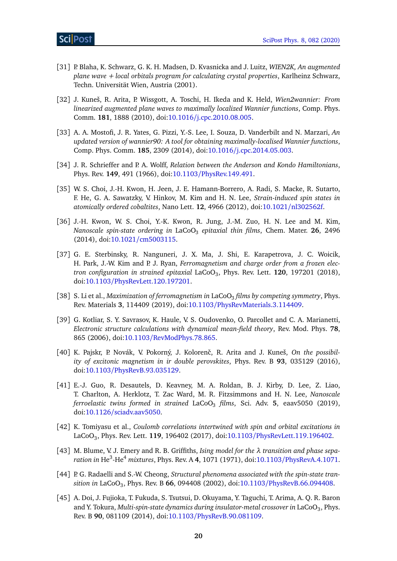- <span id="page-19-0"></span>[31] P. Blaha, K. Schwarz, G. K. H. Madsen, D. Kvasnicka and J. Luitz, *WIEN2K, An augmented plane wave + local orbitals program for calculating crystal properties*, Karlheinz Schwarz, Techn. Universität Wien, Austria (2001).
- <span id="page-19-1"></span>[32] J. Kuneš, R. Arita, P. Wissgott, A. Toschi, H. Ikeda and K. Held, *Wien2wannier: From linearized augmented plane waves to maximally localized Wannier functions*, Comp. Phys. Comm. **181**, 1888 (2010), doi:10.1016/[j.cpc.2010.08.005.](https://doi.org/10.1016/j.cpc.2010.08.005)
- <span id="page-19-2"></span>[33] A. A. Mostofi, J. R. Yates, G. Pizzi, Y.-S. Lee, I. Souza, D. Vanderbilt and N. Marzari, *An updated version of wannier90: A tool for obtaining maximally-localised Wannier functions*, Comp. Phys. Comm. **185**, 2309 (2014), doi:10.1016/[j.cpc.2014.05.003.](https://doi.org/10.1016/j.cpc.2014.05.003)
- <span id="page-19-3"></span>[34] J. R. Schrieffer and P. A. Wolff, *Relation between the Anderson and Kondo Hamiltonians*, Phys. Rev. **149**, 491 (1966), doi:10.1103/[PhysRev.149.491.](https://doi.org/10.1103/PhysRev.149.491)
- <span id="page-19-4"></span>[35] W. S. Choi, J.-H. Kwon, H. Jeen, J. E. Hamann-Borrero, A. Radi, S. Macke, R. Sutarto, F. He, G. A. Sawatzky, V. Hinkov, M. Kim and H. N. Lee, *Strain-induced spin states in atomically ordered cobaltites*, Nano Lett. **12**, 4966 (2012), doi:10.1021/[nl302562f.](https://doi.org/10.1021/nl302562f)
- [36] J.-H. Kwon, W. S. Choi, Y.-K. Kwon, R. Jung, J.-M. Zuo, H. N. Lee and M. Kim, *Nanoscale spin-state ordering in* LaCoO<sup>3</sup> *epitaxial thin films*, Chem. Mater. **26**, 2496 (2014), doi:10.1021/[cm5003115.](https://doi.org/10.1021/cm5003115)
- [37] G. E. Sterbinsky, R. Nanguneri, J. X. Ma, J. Shi, E. Karapetrova, J. C. Woicik, H. Park, J.-W. Kim and P. J. Ryan, *Ferromagnetism and charge order from a frozen electron configuration in strained epitaxial* LaCoO<sup>3</sup> , Phys. Rev. Lett. **120**, 197201 (2018), doi:10.1103/[PhysRevLett.120.197201.](https://doi.org/10.1103/PhysRevLett.120.197201)
- <span id="page-19-5"></span>[38] S. Li et al., *Maximization of ferromagnetism in* LaCoO<sub>3</sub> *films by competing symmetry*, Phys. Rev. Materials **3**, 114409 (2019), doi:10.1103/[PhysRevMaterials.3.114409.](https://doi.org/10.1103/PhysRevMaterials.3.114409)
- <span id="page-19-6"></span>[39] G. Kotliar, S. Y. Savrasov, K. Haule, V. S. Oudovenko, O. Parcollet and C. A. Marianetti, *Electronic structure calculations with dynamical mean-field theory*, Rev. Mod. Phys. **78**, 865 (2006), doi:10.1103/[RevModPhys.78.865.](https://doi.org/10.1103/RevModPhys.78.865)
- <span id="page-19-7"></span>[40] K. Pajskr, P. Novák, V. Pokorný, J. Kolorenč, R. Arita and J. Kuneš, *On the possibility of excitonic magnetism in ir double perovskites*, Phys. Rev. B **93**, 035129 (2016), doi:10.1103/[PhysRevB.93.035129.](https://doi.org/10.1103/PhysRevB.93.035129)
- <span id="page-19-8"></span>[41] E.-J. Guo, R. Desautels, D. Keavney, M. A. Roldan, B. J. Kirby, D. Lee, Z. Liao, T. Charlton, A. Herklotz, T. Zac Ward, M. R. Fitzsimmons and H. N. Lee, *Nanoscale ferroelastic twins formed in strained LaCoO<sub>3</sub> films, Sci. Adv. 5, eaav5050 (2019),* doi:10.1126/[sciadv.aav5050.](https://doi.org/10.1126/sciadv.aav5050)
- <span id="page-19-9"></span>[42] K. Tomiyasu et al., *Coulomb correlations intertwined with spin and orbital excitations in* LaCoO<sup>3</sup> , Phys. Rev. Lett. **119**, 196402 (2017), doi:10.1103/[PhysRevLett.119.196402.](https://doi.org/10.1103/PhysRevLett.119.196402)
- <span id="page-19-10"></span>[43] M. Blume, V. J. Emery and R. B. Griffiths, *Ising model for the λ transition and phase separation in* He<sup>3</sup> *-*He<sup>4</sup> *mixtures*, Phys. Rev. A **4**, 1071 (1971), doi:10.1103/[PhysRevA.4.1071.](https://doi.org/10.1103/PhysRevA.4.1071)
- <span id="page-19-11"></span>[44] P. G. Radaelli and S.-W. Cheong, *Structural phenomena associated with the spin-state transition in* LaCoO<sup>3</sup> , Phys. Rev. B **66**, 094408 (2002), doi:10.1103/[PhysRevB.66.094408.](https://doi.org/10.1103/PhysRevB.66.094408)
- <span id="page-19-12"></span>[45] A. Doi, J. Fujioka, T. Fukuda, S. Tsutsui, D. Okuyama, Y. Taguchi, T. Arima, A. Q. R. Baron and Y. Tokura, Multi-spin-state dynamics during insulator-metal crossover in LaCoO<sub>3</sub>, Phys. Rev. B **90**, 081109 (2014), doi:10.1103/[PhysRevB.90.081109.](https://doi.org/10.1103/PhysRevB.90.081109)